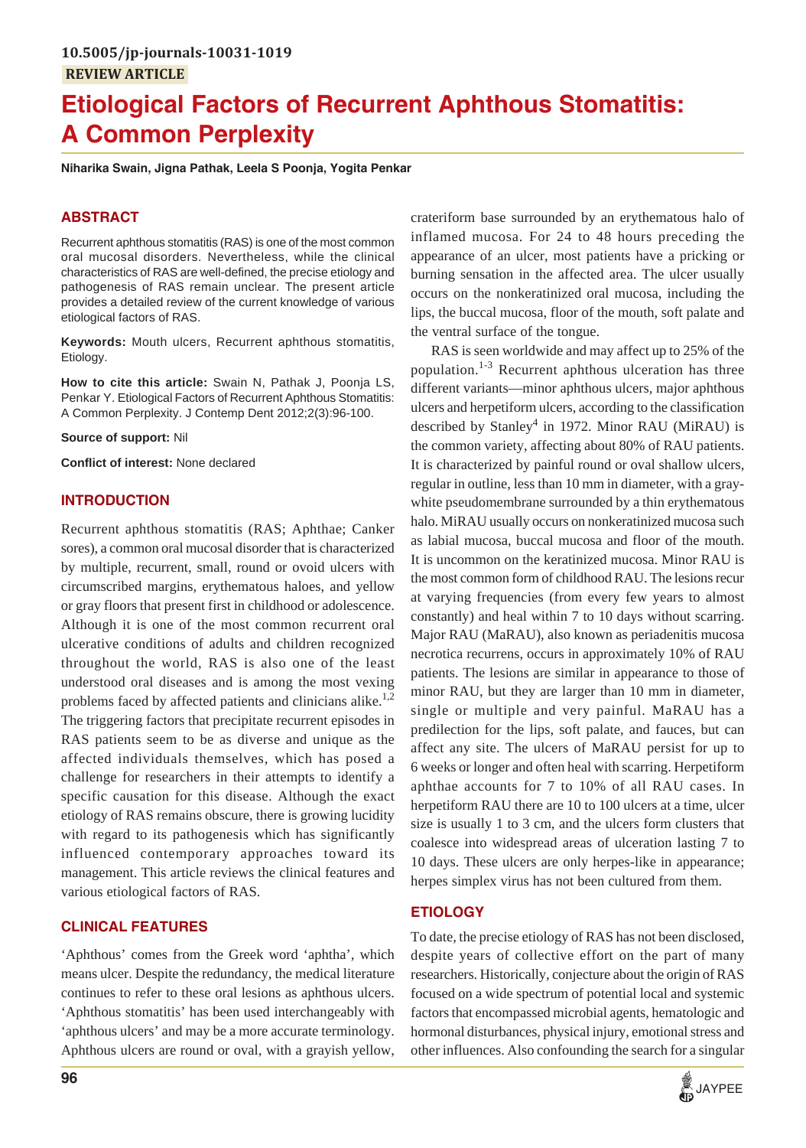# **Etiological Factors of Recurrent Aphthous Stomatitis: A Common Perplexity**

**Niharika Swain, Jigna Pathak, Leela S Poonja, Yogita Penkar**

## **ABSTRACT**

Recurrent aphthous stomatitis (RAS) is one of the most common oral mucosal disorders. Nevertheless, while the clinical characteristics of RAS are well-defined, the precise etiology and pathogenesis of RAS remain unclear. The present article provides a detailed review of the current knowledge of various etiological factors of RAS.

**Keywords:** Mouth ulcers, Recurrent aphthous stomatitis, Etiology.

**How to cite this article:** Swain N, Pathak J, Poonja LS, Penkar Y. Etiological Factors of Recurrent Aphthous Stomatitis: A Common Perplexity. J Contemp Dent 2012;2(3):96-100.

**Source of support:** Nil

**Conflict of interest:** None declared

#### **INTRODUCTION**

Recurrent aphthous stomatitis (RAS; Aphthae; Canker sores), a common oral mucosal disorder that is characterized by multiple, recurrent, small, round or ovoid ulcers with circumscribed margins, erythematous haloes, and yellow or gray floors that present first in childhood or adolescence. Although it is one of the most common recurrent oral ulcerative conditions of adults and children recognized throughout the world, RAS is also one of the least understood oral diseases and is among the most vexing problems faced by affected patients and clinicians alike. $1,2$ The triggering factors that precipitate recurrent episodes in RAS patients seem to be as diverse and unique as the affected individuals themselves, which has posed a challenge for researchers in their attempts to identify a specific causation for this disease. Although the exact etiology of RAS remains obscure, there is growing lucidity with regard to its pathogenesis which has significantly influenced contemporary approaches toward its management. This article reviews the clinical features and various etiological factors of RAS.

#### **CLINICAL FEATURES**

'Aphthous' comes from the Greek word 'aphtha', which means ulcer. Despite the redundancy, the medical literature continues to refer to these oral lesions as aphthous ulcers. 'Aphthous stomatitis' has been used interchangeably with 'aphthous ulcers' and may be a more accurate terminology. Aphthous ulcers are round or oval, with a grayish yellow,

crateriform base surrounded by an erythematous halo of inflamed mucosa. For 24 to 48 hours preceding the appearance of an ulcer, most patients have a pricking or burning sensation in the affected area. The ulcer usually occurs on the nonkeratinized oral mucosa, including the lips, the buccal mucosa, floor of the mouth, soft palate and the ventral surface of the tongue.

RAS is seen worldwide and may affect up to 25% of the population. $1-3$  Recurrent aphthous ulceration has three different variants—minor aphthous ulcers, major aphthous ulcers and herpetiform ulcers, according to the classification described by Stanley<sup>4</sup> in 1972. Minor RAU (MiRAU) is the common variety, affecting about 80% of RAU patients. It is characterized by painful round or oval shallow ulcers, regular in outline, less than 10 mm in diameter, with a graywhite pseudomembrane surrounded by a thin erythematous halo. MiRAU usually occurs on nonkeratinized mucosa such as labial mucosa, buccal mucosa and floor of the mouth. It is uncommon on the keratinized mucosa. Minor RAU is the most common form of childhood RAU. The lesions recur at varying frequencies (from every few years to almost constantly) and heal within 7 to 10 days without scarring. Major RAU (MaRAU), also known as periadenitis mucosa necrotica recurrens, occurs in approximately 10% of RAU patients. The lesions are similar in appearance to those of minor RAU, but they are larger than 10 mm in diameter, single or multiple and very painful. MaRAU has a predilection for the lips, soft palate, and fauces, but can affect any site. The ulcers of MaRAU persist for up to 6 weeks or longer and often heal with scarring. Herpetiform aphthae accounts for 7 to 10% of all RAU cases. In herpetiform RAU there are 10 to 100 ulcers at a time, ulcer size is usually 1 to 3 cm, and the ulcers form clusters that coalesce into widespread areas of ulceration lasting 7 to 10 days. These ulcers are only herpes-like in appearance; herpes simplex virus has not been cultured from them.

## **ETIOLOGY**

To date, the precise etiology of RAS has not been disclosed, despite years of collective effort on the part of many researchers. Historically, conjecture about the origin of RAS focused on a wide spectrum of potential local and systemic factors that encompassed microbial agents, hematologic and hormonal disturbances, physical injury, emotional stress and other influences. Also confounding the search for a singular

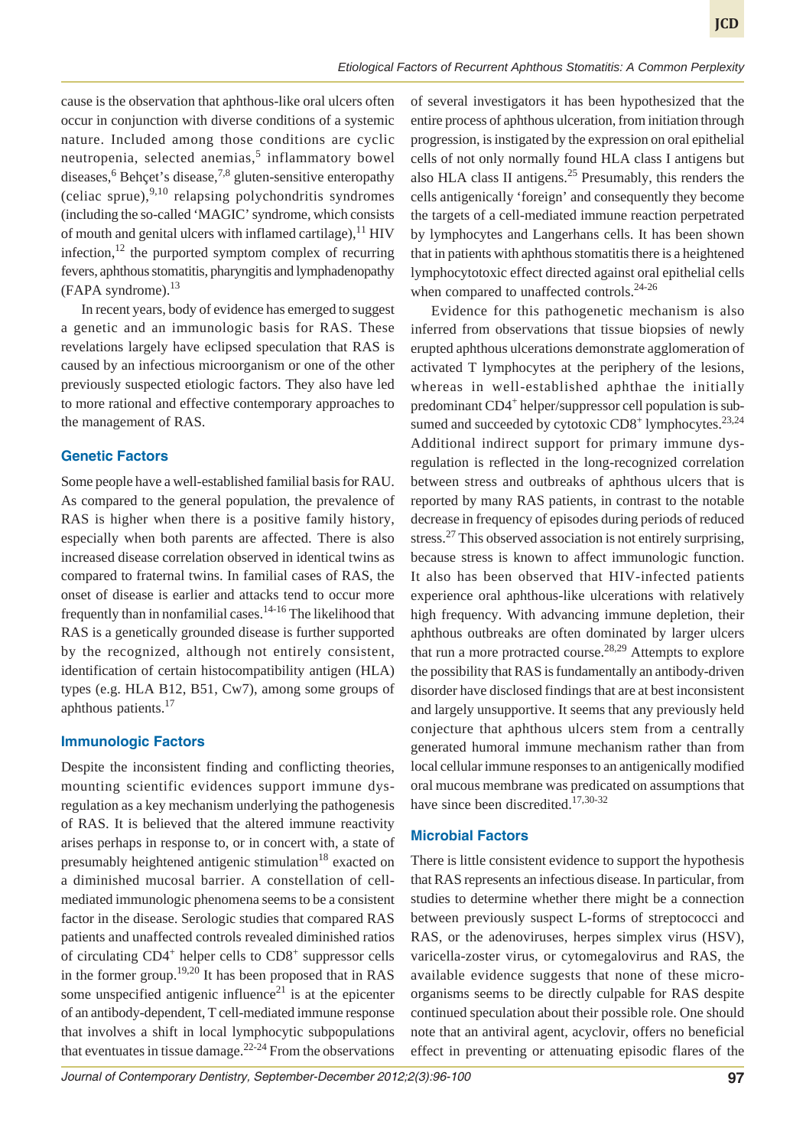cause is the observation that aphthous-like oral ulcers often occur in conjunction with diverse conditions of a systemic nature. Included among those conditions are cyclic neutropenia, selected anemias,<sup>5</sup> inflammatory bowel diseases,  $6$  Behçet's disease,  $7.8$  gluten-sensitive enteropathy (celiac sprue),  $9,10$  relapsing polychondritis syndromes (including the so-called 'MAGIC' syndrome, which consists of mouth and genital ulcers with inflamed cartilage),  $^{11}$  HIV infection,  $12$  the purported symptom complex of recurring fevers, aphthous stomatitis, pharyngitis and lymphadenopathy  $(FAPA \, syndrome)$ .<sup>13</sup>

In recent years, body of evidence has emerged to suggest a genetic and an immunologic basis for RAS. These revelations largely have eclipsed speculation that RAS is caused by an infectious microorganism or one of the other previously suspected etiologic factors. They also have led to more rational and effective contemporary approaches to the management of RAS.

## **Genetic Factors**

Some people have a well-established familial basis for RAU. As compared to the general population, the prevalence of RAS is higher when there is a positive family history, especially when both parents are affected. There is also increased disease correlation observed in identical twins as compared to fraternal twins. In familial cases of RAS, the onset of disease is earlier and attacks tend to occur more frequently than in nonfamilial cases.<sup>14-16</sup> The likelihood that RAS is a genetically grounded disease is further supported by the recognized, although not entirely consistent, identification of certain histocompatibility antigen (HLA) types (e.g. HLA B12, B51, Cw7), among some groups of aphthous patients.<sup>17</sup>

#### **Immunologic Factors**

Despite the inconsistent finding and conflicting theories, mounting scientific evidences support immune dysregulation as a key mechanism underlying the pathogenesis of RAS. It is believed that the altered immune reactivity arises perhaps in response to, or in concert with, a state of presumably heightened antigenic stimulation $18$  exacted on a diminished mucosal barrier. A constellation of cellmediated immunologic phenomena seems to be a consistent factor in the disease. Serologic studies that compared RAS patients and unaffected controls revealed diminished ratios of circulating CD4<sup>+</sup> helper cells to CD8<sup>+</sup> suppressor cells in the former group.<sup>19,20</sup> It has been proposed that in RAS some unspecified antigenic influence $21$  is at the epicenter of an antibody-dependent, T cell-mediated immune response that involves a shift in local lymphocytic subpopulations that eventuates in tissue damage.<sup>22-24</sup> From the observations

of several investigators it has been hypothesized that the entire process of aphthous ulceration, from initiation through progression, is instigated by the expression on oral epithelial cells of not only normally found HLA class I antigens but also HLA class II antigens.<sup>25</sup> Presumably, this renders the cells antigenically 'foreign' and consequently they become the targets of a cell-mediated immune reaction perpetrated by lymphocytes and Langerhans cells. It has been shown that in patients with aphthous stomatitis there is a heightened lymphocytotoxic effect directed against oral epithelial cells when compared to unaffected controls.<sup>24-26</sup>

Evidence for this pathogenetic mechanism is also inferred from observations that tissue biopsies of newly erupted aphthous ulcerations demonstrate agglomeration of activated T lymphocytes at the periphery of the lesions, whereas in well-established aphthae the initially predominant CD4<sup>+</sup> helper/suppressor cell population is subsumed and succeeded by cytotoxic  $CD8<sup>+</sup>$  lymphocytes.<sup>23,24</sup> Additional indirect support for primary immune dysregulation is reflected in the long-recognized correlation between stress and outbreaks of aphthous ulcers that is reported by many RAS patients, in contrast to the notable decrease in frequency of episodes during periods of reduced stress.<sup>27</sup> This observed association is not entirely surprising, because stress is known to affect immunologic function. It also has been observed that HIV-infected patients experience oral aphthous-like ulcerations with relatively high frequency. With advancing immune depletion, their aphthous outbreaks are often dominated by larger ulcers that run a more protracted course.<sup>28,29</sup> Attempts to explore the possibility that RAS is fundamentally an antibody-driven disorder have disclosed findings that are at best inconsistent and largely unsupportive. It seems that any previously held conjecture that aphthous ulcers stem from a centrally generated humoral immune mechanism rather than from local cellular immune responses to an antigenically modified oral mucous membrane was predicated on assumptions that have since been discredited.<sup>17,30-32</sup>

#### **Microbial Factors**

There is little consistent evidence to support the hypothesis that RAS represents an infectious disease. In particular, from studies to determine whether there might be a connection between previously suspect L-forms of streptococci and RAS, or the adenoviruses, herpes simplex virus (HSV), varicella-zoster virus, or cytomegalovirus and RAS, the available evidence suggests that none of these microorganisms seems to be directly culpable for RAS despite continued speculation about their possible role. One should note that an antiviral agent, acyclovir, offers no beneficial effect in preventing or attenuating episodic flares of the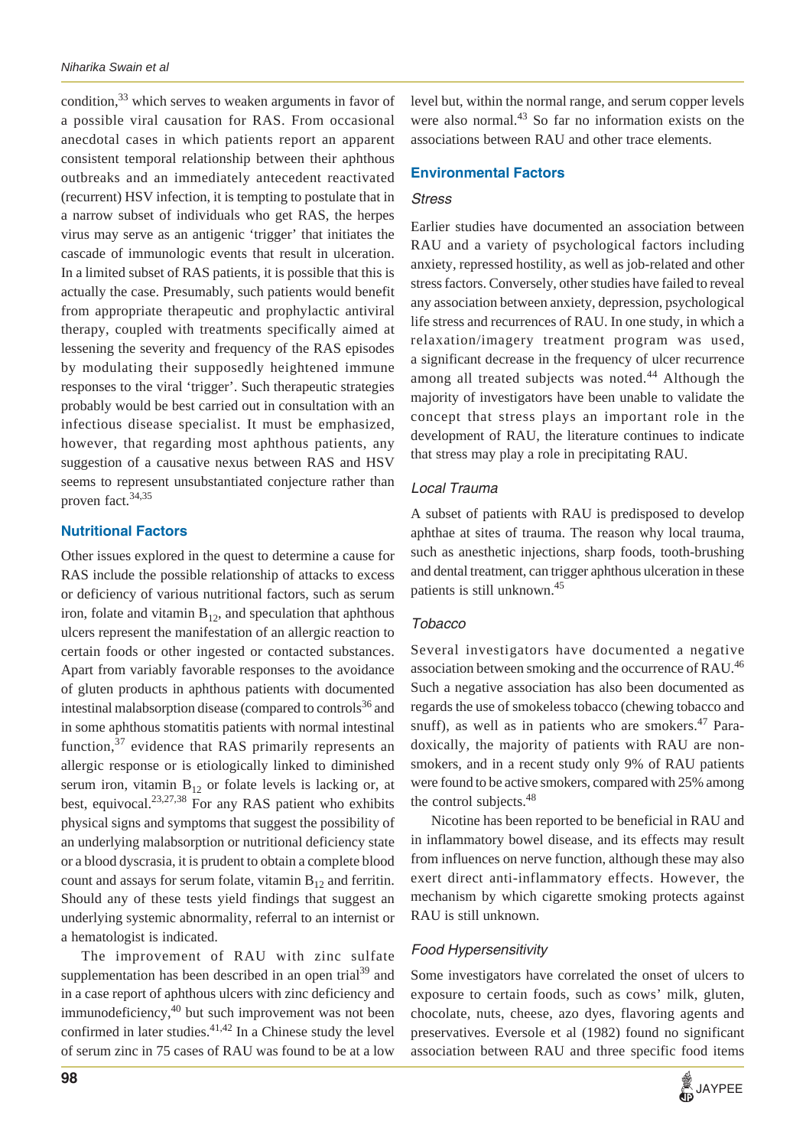condition,<sup>33</sup> which serves to weaken arguments in favor of a possible viral causation for RAS. From occasional anecdotal cases in which patients report an apparent consistent temporal relationship between their aphthous outbreaks and an immediately antecedent reactivated (recurrent) HSV infection, it is tempting to postulate that in a narrow subset of individuals who get RAS, the herpes virus may serve as an antigenic 'trigger' that initiates the cascade of immunologic events that result in ulceration. In a limited subset of RAS patients, it is possible that this is actually the case. Presumably, such patients would benefit from appropriate therapeutic and prophylactic antiviral therapy, coupled with treatments specifically aimed at lessening the severity and frequency of the RAS episodes by modulating their supposedly heightened immune responses to the viral 'trigger'. Such therapeutic strategies probably would be best carried out in consultation with an infectious disease specialist. It must be emphasized, however, that regarding most aphthous patients, any suggestion of a causative nexus between RAS and HSV seems to represent unsubstantiated conjecture rather than proven fact.<sup>34,35</sup>

## **Nutritional Factors**

Other issues explored in the quest to determine a cause for RAS include the possible relationship of attacks to excess or deficiency of various nutritional factors, such as serum iron, folate and vitamin  $B_{12}$ , and speculation that aphthous ulcers represent the manifestation of an allergic reaction to certain foods or other ingested or contacted substances. Apart from variably favorable responses to the avoidance of gluten products in aphthous patients with documented intestinal malabsorption disease (compared to controls<sup>36</sup> and in some aphthous stomatitis patients with normal intestinal function,  $37$  evidence that RAS primarily represents an allergic response or is etiologically linked to diminished serum iron, vitamin  $B_{12}$  or folate levels is lacking or, at best, equivocal. $23,27,38$  For any RAS patient who exhibits physical signs and symptoms that suggest the possibility of an underlying malabsorption or nutritional deficiency state or a blood dyscrasia, it is prudent to obtain a complete blood count and assays for serum folate, vitamin  $B_{12}$  and ferritin. Should any of these tests yield findings that suggest an underlying systemic abnormality, referral to an internist or a hematologist is indicated.

The improvement of RAU with zinc sulfate supplementation has been described in an open trial<sup>39</sup> and in a case report of aphthous ulcers with zinc deficiency and immunodeficiency, $40$  but such improvement was not been confirmed in later studies. $41,42$  In a Chinese study the level of serum zinc in 75 cases of RAU was found to be at a low

level but, within the normal range, and serum copper levels were also normal.<sup>43</sup> So far no information exists on the associations between RAU and other trace elements.

## **Environmental Factors**

#### *Stress*

Earlier studies have documented an association between RAU and a variety of psychological factors including anxiety, repressed hostility, as well as job-related and other stress factors. Conversely, other studies have failed to reveal any association between anxiety, depression, psychological life stress and recurrences of RAU. In one study, in which a relaxation/imagery treatment program was used, a significant decrease in the frequency of ulcer recurrence among all treated subjects was noted.<sup>44</sup> Although the majority of investigators have been unable to validate the concept that stress plays an important role in the development of RAU, the literature continues to indicate that stress may play a role in precipitating RAU.

## *Local Trauma*

A subset of patients with RAU is predisposed to develop aphthae at sites of trauma. The reason why local trauma, such as anesthetic injections, sharp foods, tooth-brushing and dental treatment, can trigger aphthous ulceration in these patients is still unknown.45

## *Tobacco*

Several investigators have documented a negative association between smoking and the occurrence of RAU.<sup>46</sup> Such a negative association has also been documented as regards the use of smokeless tobacco (chewing tobacco and snuff), as well as in patients who are smokers. $47$  Paradoxically, the majority of patients with RAU are nonsmokers, and in a recent study only 9% of RAU patients were found to be active smokers, compared with 25% among the control subjects.<sup>48</sup>

Nicotine has been reported to be beneficial in RAU and in inflammatory bowel disease, and its effects may result from influences on nerve function, although these may also exert direct anti-inflammatory effects. However, the mechanism by which cigarette smoking protects against RAU is still unknown.

## *Food Hypersensitivity*

Some investigators have correlated the onset of ulcers to exposure to certain foods, such as cows' milk, gluten, chocolate, nuts, cheese, azo dyes, flavoring agents and preservatives. Eversole et al (1982) found no significant association between RAU and three specific food items

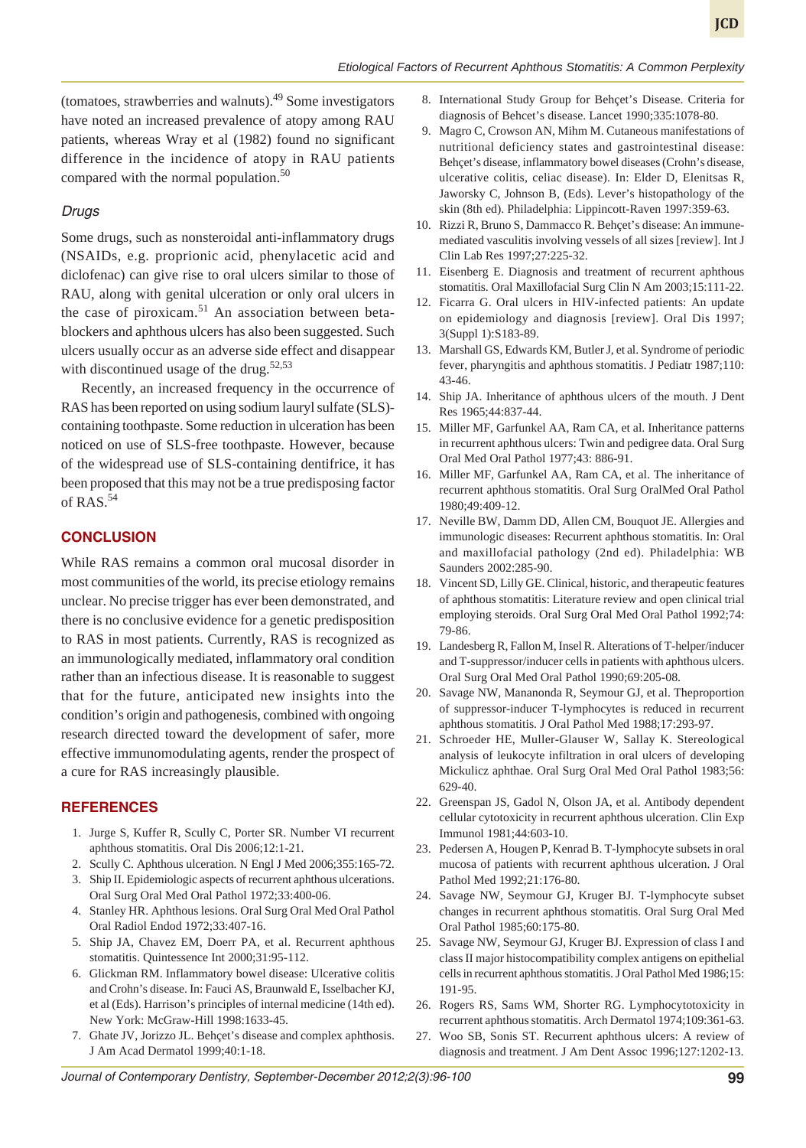(tomatoes, strawberries and walnuts).49 Some investigators have noted an increased prevalence of atopy among RAU patients, whereas Wray et al (1982) found no significant difference in the incidence of atopy in RAU patients compared with the normal population.<sup>50</sup>

#### *Drugs*

Some drugs, such as nonsteroidal anti-inflammatory drugs (NSAIDs, e.g. proprionic acid, phenylacetic acid and diclofenac) can give rise to oral ulcers similar to those of RAU, along with genital ulceration or only oral ulcers in the case of piroxicam.<sup>51</sup> An association between betablockers and aphthous ulcers has also been suggested. Such ulcers usually occur as an adverse side effect and disappear with discontinued usage of the drug.<sup>52,53</sup>

Recently, an increased frequency in the occurrence of RAS has been reported on using sodium lauryl sulfate (SLS) containing toothpaste. Some reduction in ulceration has been noticed on use of SLS-free toothpaste. However, because of the widespread use of SLS-containing dentifrice, it has been proposed that this may not be a true predisposing factor of RAS.<sup>54</sup>

## **CONCLUSION**

While RAS remains a common oral mucosal disorder in most communities of the world, its precise etiology remains unclear. No precise trigger has ever been demonstrated, and there is no conclusive evidence for a genetic predisposition to RAS in most patients. Currently, RAS is recognized as an immunologically mediated, inflammatory oral condition rather than an infectious disease. It is reasonable to suggest that for the future, anticipated new insights into the condition's origin and pathogenesis, combined with ongoing research directed toward the development of safer, more effective immunomodulating agents, render the prospect of a cure for RAS increasingly plausible.

#### **REFERENCES**

- 1. Jurge S, Kuffer R, Scully C, Porter SR. Number VI recurrent aphthous stomatitis. Oral Dis 2006;12:1-21.
- 2. Scully C. Aphthous ulceration. N Engl J Med 2006;355:165-72.
- 3. Ship II. Epidemiologic aspects of recurrent aphthous ulcerations. Oral Surg Oral Med Oral Pathol 1972;33:400-06.
- 4. Stanley HR. Aphthous lesions. Oral Surg Oral Med Oral Pathol Oral Radiol Endod 1972;33:407-16.
- 5. Ship JA, Chavez EM, Doerr PA, et al. Recurrent aphthous stomatitis. Quintessence Int 2000;31:95-112.
- 6. Glickman RM. Inflammatory bowel disease: Ulcerative colitis and Crohn's disease. In: Fauci AS, Braunwald E, Isselbacher KJ, et al (Eds). Harrison's principles of internal medicine (14th ed). New York: McGraw-Hill 1998:1633-45.
- 7. Ghate JV, Jorizzo JL. Behçet's disease and complex aphthosis. J Am Acad Dermatol 1999;40:1-18.
- 8. International Study Group for Behçet's Disease. Criteria for diagnosis of Behcet's disease. Lancet 1990;335:1078-80.
- 9. Magro C, Crowson AN, Mihm M. Cutaneous manifestations of nutritional deficiency states and gastrointestinal disease: Behçet's disease, inflammatory bowel diseases (Crohn's disease, ulcerative colitis, celiac disease). In: Elder D, Elenitsas R, Jaworsky C, Johnson B, (Eds). Lever's histopathology of the skin (8th ed). Philadelphia: Lippincott-Raven 1997:359-63.
- 10. Rizzi R, Bruno S, Dammacco R. Behçet's disease: An immunemediated vasculitis involving vessels of all sizes [review]. Int J Clin Lab Res 1997;27:225-32.
- 11. Eisenberg E. Diagnosis and treatment of recurrent aphthous stomatitis. Oral Maxillofacial Surg Clin N Am 2003;15:111-22.
- 12. Ficarra G. Oral ulcers in HIV-infected patients: An update on epidemiology and diagnosis [review]. Oral Dis 1997; 3(Suppl 1):S183-89.
- 13. Marshall GS, Edwards KM, Butler J, et al. Syndrome of periodic fever, pharyngitis and aphthous stomatitis. J Pediatr 1987;110: 43-46.
- 14. Ship JA. Inheritance of aphthous ulcers of the mouth. J Dent Res 1965;44:837-44.
- 15. Miller MF, Garfunkel AA, Ram CA, et al. Inheritance patterns in recurrent aphthous ulcers: Twin and pedigree data. Oral Surg Oral Med Oral Pathol 1977;43: 886-91.
- 16. Miller MF, Garfunkel AA, Ram CA, et al. The inheritance of recurrent aphthous stomatitis. Oral Surg OralMed Oral Pathol 1980;49:409-12.
- 17. Neville BW, Damm DD, Allen CM, Bouquot JE. Allergies and immunologic diseases: Recurrent aphthous stomatitis. In: Oral and maxillofacial pathology (2nd ed). Philadelphia: WB Saunders 2002:285-90.
- 18. Vincent SD, Lilly GE. Clinical, historic, and therapeutic features of aphthous stomatitis: Literature review and open clinical trial employing steroids. Oral Surg Oral Med Oral Pathol 1992;74: 79-86.
- 19. Landesberg R, Fallon M, Insel R. Alterations of T-helper/inducer and T-suppressor/inducer cells in patients with aphthous ulcers. Oral Surg Oral Med Oral Pathol 1990;69:205-08.
- 20. Savage NW, Mananonda R, Seymour GJ, et al. Theproportion of suppressor-inducer T-lymphocytes is reduced in recurrent aphthous stomatitis. J Oral Pathol Med 1988;17:293-97.
- 21. Schroeder HE, Muller-Glauser W, Sallay K. Stereological analysis of leukocyte infiltration in oral ulcers of developing Mickulicz aphthae. Oral Surg Oral Med Oral Pathol 1983;56: 629-40.
- 22. Greenspan JS, Gadol N, Olson JA, et al. Antibody dependent cellular cytotoxicity in recurrent aphthous ulceration. Clin Exp Immunol 1981;44:603-10.
- 23. Pedersen A, Hougen P, Kenrad B. T-lymphocyte subsets in oral mucosa of patients with recurrent aphthous ulceration. J Oral Pathol Med 1992;21:176-80.
- 24. Savage NW, Seymour GJ, Kruger BJ. T-lymphocyte subset changes in recurrent aphthous stomatitis. Oral Surg Oral Med Oral Pathol 1985;60:175-80.
- 25. Savage NW, Seymour GJ, Kruger BJ. Expression of class I and class II major histocompatibility complex antigens on epithelial cells in recurrent aphthous stomatitis. J Oral Pathol Med 1986;15: 191-95.
- 26. Rogers RS, Sams WM, Shorter RG. Lymphocytotoxicity in recurrent aphthous stomatitis. Arch Dermatol 1974;109:361-63.
- 27. Woo SB, Sonis ST. Recurrent aphthous ulcers: A review of diagnosis and treatment. J Am Dent Assoc 1996;127:1202-13.